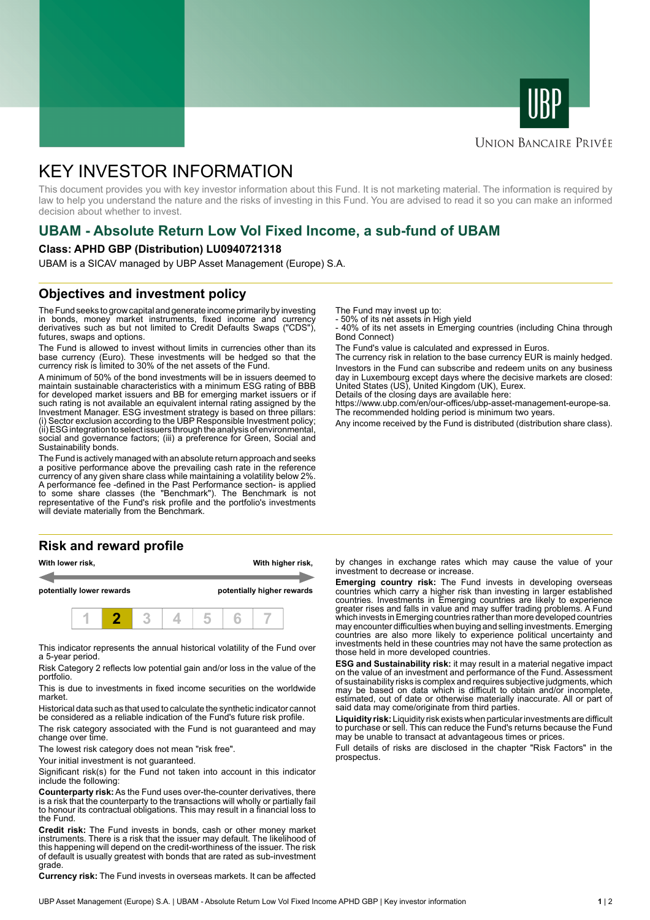



#### **UNION BANCAIRE PRIVÉE**

# KEY INVESTOR INFORMATION

This document provides you with key investor information about this Fund. It is not marketing material. The information is required by law to help you understand the nature and the risks of investing in this Fund. You are advised to read it so you can make an informed decision about whether to invest.

# **UBAM - Absolute Return Low Vol Fixed Income, a sub-fund of UBAM**

#### **Class: APHD GBP (Distribution) LU0940721318**

UBAM is a SICAV managed by UBP Asset Management (Europe) S.A.

#### **Objectives and investment policy**

The Fund seeks to grow capital and generate income primarily by investing in bonds, money market instruments, fixed income and currency derivatives such as but not limited to Credit Defaults Swaps ("CDS"), futures, swaps and options.

The Fund is allowed to invest without limits in currencies other than its base currency (Euro). These investments will be hedged so that the currency risk is limited to 30% of the net assets of the Fund.

A minimum of 50% of the bond investments will be in issuers deemed to maintain sustainable characteristics with a minimum ESG rating of BBB for developed market issuers and BB for emerging market issuers or if such rating is not available an equivalent internal rating assigned by the Investment Manager. ESG investment strategy is based on three pillars: (i) Sector exclusion according to the UBP Responsible Investment policy; (ii) ESG integration to select issuers through the analysis of environmental, social and governance factors; (iii) a preference for Green, Social and Sustainability bonds.

The Fund is actively managed with an absolute return approach and seeks a positive performance above the prevailing cash rate in the reference currency of any given share class while maintaining a volatility below 2%. A performance fee -defined in the Past Performance section- is applied to some share classes (the "Benchmark"). The Benchmark is not representative of the Fund's risk profile and the portfolio's investments will deviate materially from the Benchmark.

## **Risk and reward profile**

| With lower risk,          |  |  |  | With higher risk,          |  |  |  |  |
|---------------------------|--|--|--|----------------------------|--|--|--|--|
| potentially lower rewards |  |  |  | potentially higher rewards |  |  |  |  |
|                           |  |  |  |                            |  |  |  |  |

This indicator represents the annual historical volatility of the Fund over a 5-year period.

Risk Category 2 reflects low potential gain and/or loss in the value of the portfolio.

This is due to investments in fixed income securities on the worldwide market.

Historical data such as that used to calculate the synthetic indicator cannot be considered as a reliable indication of the Fund's future risk profile.

The risk category associated with the Fund is not guaranteed and may change over time.

The lowest risk category does not mean "risk free".

Your initial investment is not guaranteed.

Significant risk(s) for the Fund not taken into account in this indicator include the following:

**Counterparty risk:** As the Fund uses over-the-counter derivatives, there is a risk that the counterparty to the transactions will wholly or partially fail to honour its contractual obligations. This may result in a financial loss to the Fund.

**Credit risk:** The Fund invests in bonds, cash or other money market instruments. There is a risk that the issuer may default. The likelihood of this happening will depend on the credit-worthiness of the issuer. The risk of default is usually greatest with bonds that are rated as sub-investment grade.

**Currency risk:** The Fund invests in overseas markets. It can be affected

The Fund may invest up to:

- 50% of its net assets in High yield

- 40% of its net assets in Emerging countries (including China through Bond Connect)

The Fund's value is calculated and expressed in Euros.

The currency risk in relation to the base currency EUR is mainly hedged. Investors in the Fund can subscribe and redeem units on any business day in Luxembourg except days where the decisive markets are closed: United States (US), United Kingdom (UK), Eurex.

Details of the closing days are available here:

https://www.ubp.com/en/our-offices/ubp-asset-management-europe-sa. The recommended holding period is minimum two years.

Any income received by the Fund is distributed (distribution share class).

by changes in exchange rates which may cause the value of your investment to decrease or increase.

**Emerging country risk:** The Fund invests in developing overseas countries which carry a higher risk than investing in larger established countries. Investments in Emerging countries are likely to experience greater rises and falls in value and may suffer trading problems. A Fund which invests in Emerging countries rather than more developed countries may encounter difficulties when buying and selling investments. Emerging countries are also more likely to experience political uncertainty and investments held in these countries may not have the same protection as those held in more developed countries.

**ESG and Sustainability risk:** it may result in a material negative impact on the value of an investment and performance of the Fund. Assessment of sustainability risks is complex and requires subjective judgments, which may be based on data which is difficult to obtain and/or incomplete, estimated, out of date or otherwise materially inaccurate. All or part of said data may come/originate from third parties.

**Liquidity risk:** Liquidity risk exists when particular investments are difficult to purchase or sell. This can reduce the Fund's returns because the Fund may be unable to transact at advantageous times or prices.

Full details of risks are disclosed in the chapter "Risk Factors" in the prospectus.